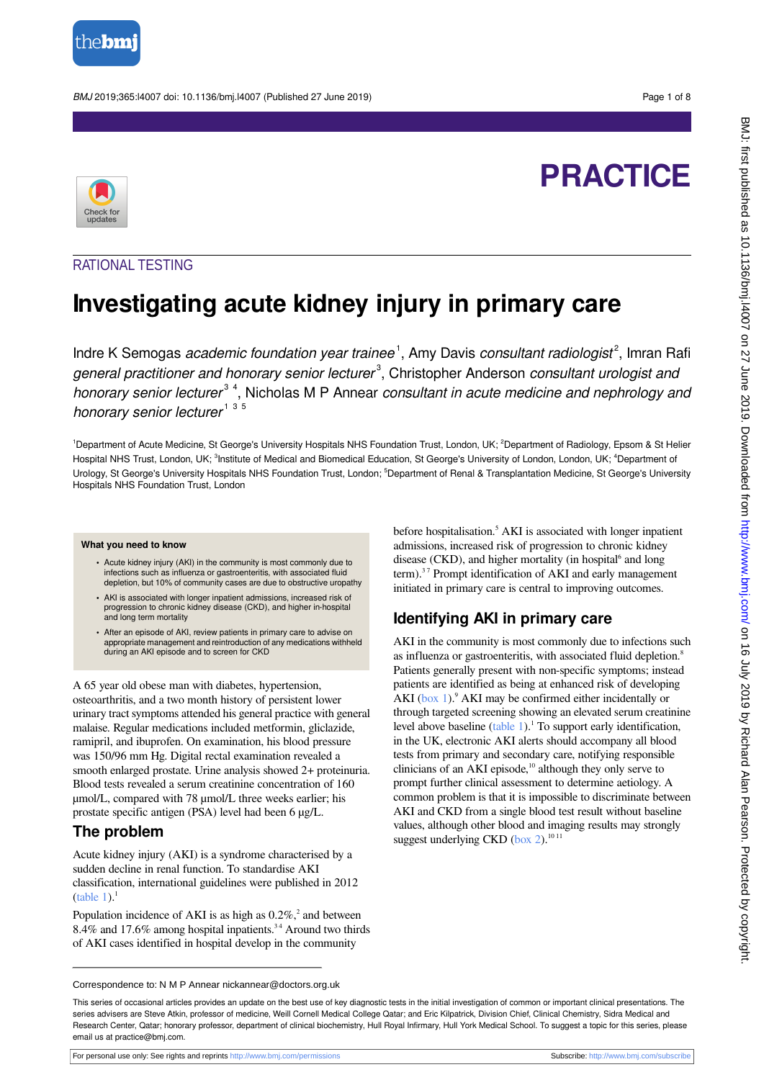

BMJ 2019;365:l4007 doi: 10.1136/bmj.l4007 (Published 27 June 2019) **Page 1 of 8** Page 1 of 8

# **PRACTICE**



### RATIONAL TESTING

## **Investigating acute kidney injury in primary care**

Indre K Semogas *academic foundation year trainee*<sup>1</sup>, Amy Davis *consultant radiologist*<sup>2</sup>, Imran Rafi general practitioner and honorary senior lecturer<sup>3</sup>, Christopher Anderson consultant urologist and honorary senior lecturer<sup>34</sup>, Nicholas M P Annear consultant in acute medicine and nephrology and honorary senior lecturer<sup>135</sup>

<sup>1</sup>Department of Acute Medicine, St George's University Hospitals NHS Foundation Trust, London, UK; <sup>2</sup>Department of Radiology, Epsom & St Helier Hospital NHS Trust, London, UK; <sup>3</sup>Institute of Medical and Biomedical Education, St George's University of London, London, UK; <sup>4</sup>Department of Urology, St George's University Hospitals NHS Foundation Trust, London; <sup>5</sup>Department of Renal & Transplantation Medicine, St George's University Hospitals NHS Foundation Trust, London

#### **What you need to know**

- **•** Acute kidney injury (AKI) in the community is most commonly due to infections such as influenza or gastroenteritis, with associated fluid depletion, but 10% of community cases are due to obstructive uropathy
- **•** AKI is associated with longer inpatient admissions, increased risk of progression to chronic kidney disease (CKD), and higher in-hospital and long term mortality
- **•** After an episode of AKI, review patients in primary care to advise on appropriate management and reintroduction of any medications withheld during an AKI episode and to screen for CKD

A 65 year old obese man with diabetes, hypertension, osteoarthritis, and a two month history of persistent lower urinary tract symptoms attended his general practice with general malaise. Regular medications included metformin, gliclazide, ramipril, and ibuprofen. On examination, his blood pressure was 150/96 mm Hg. Digital rectal examination revealed a smooth enlarged prostate. Urine analysis showed 2+ proteinuria. Blood tests revealed a serum creatinine concentration of 160 µmol/L, compared with 78 µmol/L three weeks earlier; his prostate specific antigen (PSA) level had been 6 µg/L.

### **The problem**

Acute kidney injury (AKI) is a syndrome characterised by a sudden decline in renal function. To standardise AKI classification, international guidelines were published in 2012 ([table 1](#page-4-0)). $<sup>1</sup>$ </sup>

Population incidence of AKI is as high as  $0.2\%$ , and between 8.4% and 17.6% among hospital inpatients.<sup>34</sup> Around two thirds of AKI cases identified in hospital develop in the community

before hospitalisation.<sup>5</sup> AKI is associated with longer inpatient admissions, increased risk of progression to chronic kidney disease (CKD), and higher mortality (in hospital<sup>6</sup> and long term).<sup>37</sup> Prompt identification of AKI and early management initiated in primary care is central to improving outcomes.

## **Identifying AKI in primary care**

AKI in the community is most commonly due to infections such as influenza or gastroenteritis, with associated fluid depletion.<sup>8</sup> Patients generally present with non-specific symptoms; instead patients are identified as being at enhanced risk of developing AKI  $(box\ 1)$ .<sup>9</sup> AKI may be confirmed either incidentally or through targeted screening showing an elevated serum creatinine level above baseline [\(table 1](#page-4-0)).<sup>1</sup> To support early identification, in the UK, electronic AKI alerts should accompany all blood tests from primary and secondary care, notifying responsible clinicians of an AKI episode, $10$  although they only serve to prompt further clinical assessment to determine aetiology. A common problem is that it is impossible to discriminate between AKI and CKD from a single blood test result without baseline values, although other blood and imaging results may strongly suggest underlying CKD (box  $2$ ).<sup>10 11</sup>

Correspondence to: N M P Annear nickannear@doctors.org.uk

For personal use only: See rights and reprints<http://www.bmj.com/permissions> Subscribe: <http://www.bmj.com/subscribe>

This series of occasional articles provides an update on the best use of key diagnostic tests in the initial investigation of common or important clinical presentations. The series advisers are Steve Atkin, professor of medicine, Weill Cornell Medical College Qatar; and Eric Kilpatrick, Division Chief, Clinical Chemistry, Sidra Medical and Research Center, Qatar; honorary professor, department of clinical biochemistry, Hull Royal Infirmary, Hull York Medical School. To suggest a topic for this series, please email us at practice@bmj.com.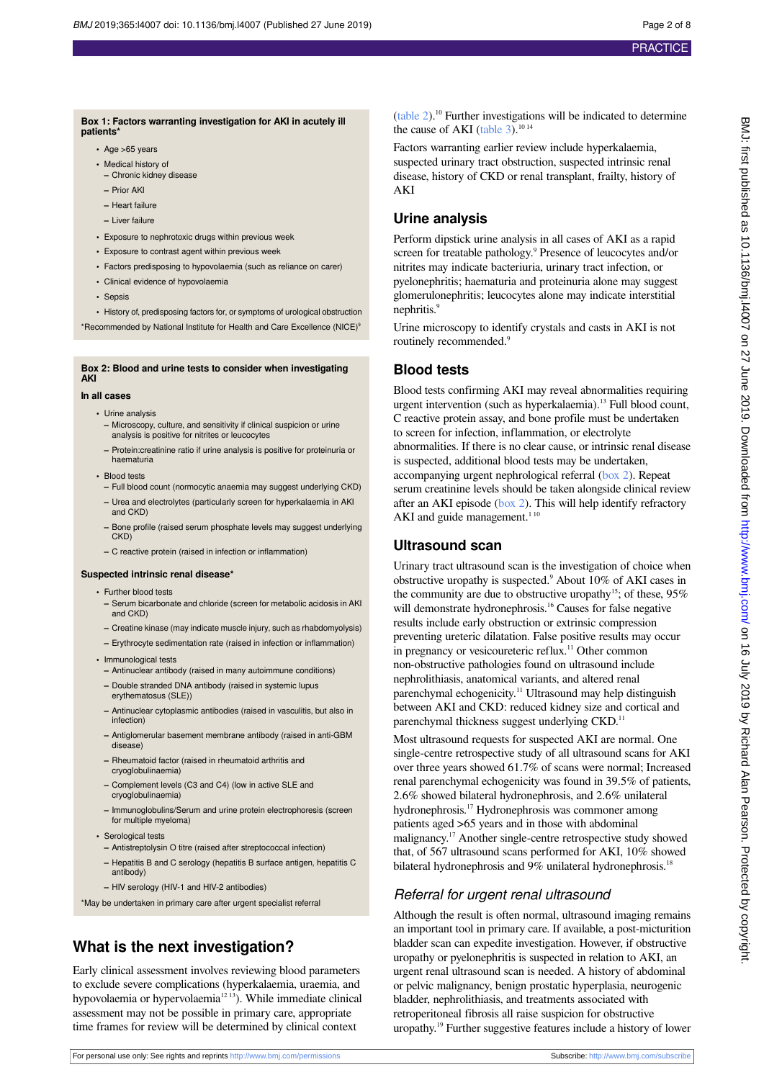#### <span id="page-1-0"></span>**Box 1: Factors warranting investigation for AKI in acutely ill patients**

- **•** Age >65 years
- **•** Medical history of
- **–** Chronic kidney disease
- **–** Prior AKI
- **–** Heart failure
- **–** Liver failure
- **•** Exposure to nephrotoxic drugs within previous week
- **•** Exposure to contrast agent within previous week
- **•** Factors predisposing to hypovolaemia (such as reliance on carer)
- **•** Clinical evidence of hypovolaemia
- **•** Sepsis

<span id="page-1-1"></span>**•** History of, predisposing factors for, or symptoms of urological obstruction \*Recommended by National Institute for Health and Care Excellence (NICE)<sup>9</sup>

## **Box 2: Blood and urine tests to consider when investigating AKI**

#### **In all cases**

- **•** Urine analysis
	- **–** Microscopy, culture, and sensitivity if clinical suspicion or urine analysis is positive for nitrites or leucocytes
- **–** Protein:creatinine ratio if urine analysis is positive for proteinuria or haematuria
- **•** Blood tests
- **–** Full blood count (normocytic anaemia may suggest underlying CKD)
- **–** Urea and electrolytes (particularly screen for hyperkalaemia in AKI and CKD)
- **–** Bone profile (raised serum phosphate levels may suggest underlying CKD)
- **–** C reactive protein (raised in infection or inflammation)

#### **Suspected intrinsic renal disease\***

- **•** Further blood tests
- **–** Serum bicarbonate and chloride (screen for metabolic acidosis in AKI and CKD)
- **–** Creatine kinase (may indicate muscle injury, such as rhabdomyolysis)
- **–** Erythrocyte sedimentation rate (raised in infection or inflammation)
- **•** Immunological tests
- **–** Antinuclear antibody (raised in many autoimmune conditions)
- **–** Double stranded DNA antibody (raised in systemic lupus erythematosus (SLE))
- **–** Antinuclear cytoplasmic antibodies (raised in vasculitis, but also in infection)
- **–** Antiglomerular basement membrane antibody (raised in anti-GBM disease)
- **–** Rheumatoid factor (raised in rheumatoid arthritis and cryoglobulinaemia)
- **–** Complement levels (C3 and C4) (low in active SLE and cryoglobulinaemia)
- **–** Immunoglobulins/Serum and urine protein electrophoresis (screen for multiple myeloma)
- **•** Serological tests
- **–** Antistreptolysin O titre (raised after streptococcal infection)
- **–** Hepatitis B and C serology (hepatitis B surface antigen, hepatitis C antibody)
- **–** HIV serology (HIV-1 and HIV-2 antibodies)

\*May be undertaken in primary care after urgent specialist referral

## **What is the next investigation?**

Early clinical assessment involves reviewing blood parameters to exclude severe complications (hyperkalaemia, uraemia, and hypovolaemia or hypervolaemia<sup>12 13</sup>). While immediate clinical assessment may not be possible in primary care, appropriate time frames for review will be determined by clinical context

 $(table 2)$  $(table 2)$ .<sup>10</sup> Further investigations will be indicated to determine the cause of AKI (table  $3$ ).<sup>10 14</sup>

Factors warranting earlier review include hyperkalaemia, suspected urinary tract obstruction, suspected intrinsic renal disease, history of CKD or renal transplant, frailty, history of AKI

#### **Urine analysis**

Perform dipstick urine analysis in all cases of AKI as a rapid screen for treatable pathology.<sup>9</sup> Presence of leucocytes and/or nitrites may indicate bacteriuria, urinary tract infection, or pyelonephritis; haematuria and proteinuria alone may suggest glomerulonephritis; leucocytes alone may indicate interstitial nephritis.<sup>9</sup>

Urine microscopy to identify crystals and casts in AKI is not routinely recommended.<sup>9</sup>

### **Blood tests**

Blood tests confirming AKI may reveal abnormalities requiring urgent intervention (such as hyperkalaemia).<sup>13</sup> Full blood count, C reactive protein assay, and bone profile must be undertaken to screen for infection, inflammation, or electrolyte abnormalities. If there is no clear cause, or intrinsic renal disease is suspected, additional blood tests may be undertaken, accompanying urgent nephrological referral [\(box 2](#page-1-1)). Repeat serum creatinine levels should be taken alongside clinical review after an AKI episode ([box 2](#page-1-1)). This will help identify refractory AKI and guide management.<sup>110</sup>

#### **Ultrasound scan**

Urinary tract ultrasound scan is the investigation of choice when obstructive uropathy is suspected.<sup>9</sup> About 10% of AKI cases in the community are due to obstructive uropathy<sup>15</sup>; of these,  $95\%$ will demonstrate hydronephrosis.<sup>16</sup> Causes for false negative results include early obstruction or extrinsic compression preventing ureteric dilatation. False positive results may occur in pregnancy or vesicoureteric reflux.<sup>11</sup> Other common non-obstructive pathologies found on ultrasound include nephrolithiasis, anatomical variants, and altered renal parenchymal echogenicity.<sup>11</sup> Ultrasound may help distinguish between AKI and CKD: reduced kidney size and cortical and parenchymal thickness suggest underlying CKD.<sup>11</sup>

Most ultrasound requests for suspected AKI are normal. One single-centre retrospective study of all ultrasound scans for AKI over three years showed 61.7% of scans were normal; Increased renal parenchymal echogenicity was found in 39.5% of patients, 2.6% showed bilateral hydronephrosis, and 2.6% unilateral hydronephrosis.<sup>17</sup> Hydronephrosis was commoner among patients aged >65 years and in those with abdominal malignancy.<sup>17</sup> Another single-centre retrospective study showed that, of 567 ultrasound scans performed for AKI, 10% showed bilateral hydronephrosis and 9% unilateral hydronephrosis.<sup>18</sup>

### Referral for urgent renal ultrasound

Although the result is often normal, ultrasound imaging remains an important tool in primary care. If available, a post-micturition bladder scan can expedite investigation. However, if obstructive uropathy or pyelonephritis is suspected in relation to AKI, an urgent renal ultrasound scan is needed. A history of abdominal or pelvic malignancy, benign prostatic hyperplasia, neurogenic bladder, nephrolithiasis, and treatments associated with retroperitoneal fibrosis all raise suspicion for obstructive uropathy.<sup>19</sup> Further suggestive features include a history of lower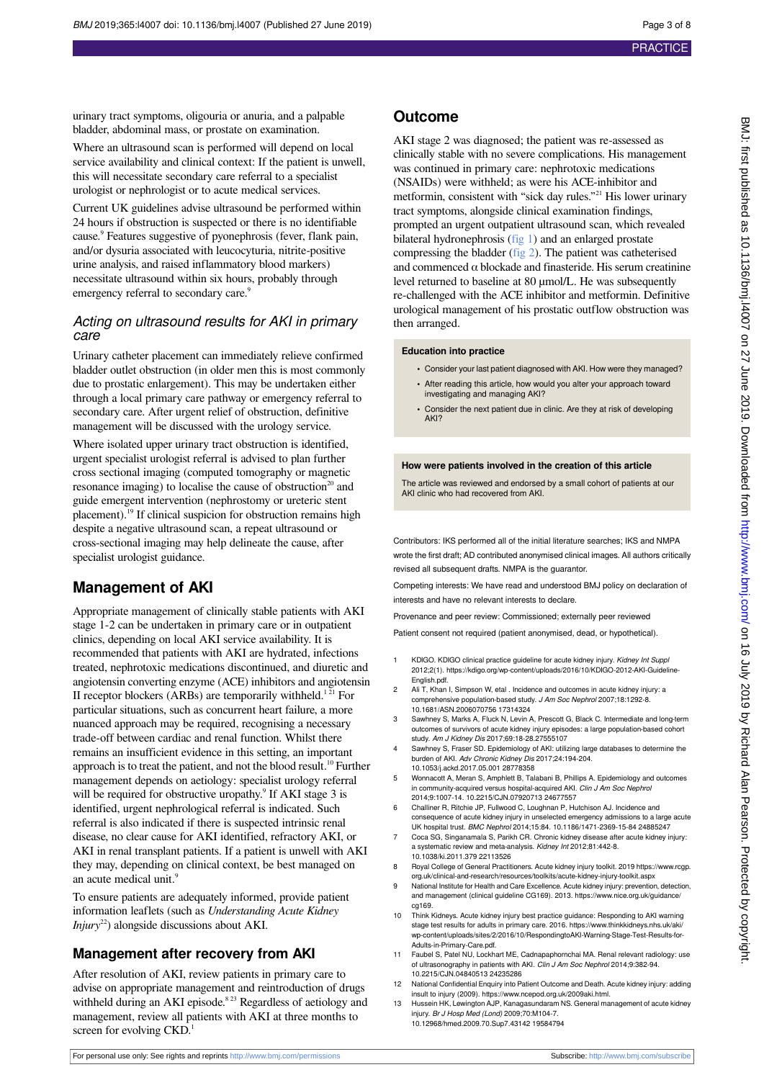urinary tract symptoms, oligouria or anuria, and a palpable bladder, abdominal mass, or prostate on examination.

Where an ultrasound scan is performed will depend on local service availability and clinical context: If the patient is unwell, this will necessitate secondary care referral to a specialist urologist or nephrologist or to acute medical services.

Current UK guidelines advise ultrasound be performed within 24 hours if obstruction is suspected or there is no identifiable cause.<sup>9</sup> Features suggestive of pyonephrosis (fever, flank pain, and/or dysuria associated with leucocyturia, nitrite-positive urine analysis, and raised inflammatory blood markers) necessitate ultrasound within six hours, probably through emergency referral to secondary care.<sup>9</sup>

#### Acting on ultrasound results for AKI in primary care

Urinary catheter placement can immediately relieve confirmed bladder outlet obstruction (in older men this is most commonly due to prostatic enlargement). This may be undertaken either through a local primary care pathway or emergency referral to secondary care. After urgent relief of obstruction, definitive management will be discussed with the urology service.

Where isolated upper urinary tract obstruction is identified, urgent specialist urologist referral is advised to plan further cross sectional imaging (computed tomography or magnetic resonance imaging) to localise the cause of obstruction $20$  and guide emergent intervention (nephrostomy or ureteric stent placement).<sup>19</sup> If clinical suspicion for obstruction remains high despite a negative ultrasound scan, a repeat ultrasound or cross-sectional imaging may help delineate the cause, after specialist urologist guidance.

### **Management of AKI**

Appropriate management of clinically stable patients with AKI stage 1-2 can be undertaken in primary care or in outpatient clinics, depending on local AKI service availability. It is recommended that patients with AKI are hydrated, infections treated, nephrotoxic medications discontinued, and diuretic and angiotensin converting enzyme (ACE) inhibitors and angiotensin II receptor blockers (ARBs) are temporarily withheld.<sup>121</sup> For particular situations, such as concurrent heart failure, a more nuanced approach may be required, recognising a necessary trade-off between cardiac and renal function. Whilst there remains an insufficient evidence in this setting, an important approach is to treat the patient, and not the blood result.<sup>10</sup> Further management depends on aetiology: specialist urology referral will be required for obstructive uropathy.<sup>9</sup> If AKI stage 3 is identified, urgent nephrological referral is indicated. Such referral is also indicated if there is suspected intrinsic renal disease, no clear cause for AKI identified, refractory AKI, or AKI in renal transplant patients. If a patient is unwell with AKI they may, depending on clinical context, be best managed on an acute medical unit.<sup>9</sup>

To ensure patients are adequately informed, provide patient information leaflets (such as *Understanding Acute Kidney Injury*<sup>22</sup>) alongside discussions about AKI.

#### **Management after recovery from AKI**

After resolution of AKI, review patients in primary care to advise on appropriate management and reintroduction of drugs withheld during an AKI episode.<sup>8 23</sup> Regardless of aetiology and management, review all patients with AKI at three months to screen for evolving CKD.<sup>1</sup>

AKI stage 2 was diagnosed; the patient was re-assessed as clinically stable with no severe complications. His management was continued in primary care: nephrotoxic medications (NSAIDs) were withheld; as were his ACE-inhibitor and metformin, consistent with "sick day rules." <sup>21</sup> His lower urinary tract symptoms, alongside clinical examination findings, prompted an urgent outpatient ultrasound scan, which revealed bilateral hydronephrosis ([fig 1\)](#page-7-0) and an enlarged prostate compressing the bladder ([fig 2\)](#page-7-1). The patient was catheterised and commenced  $\alpha$  blockade and finasteride. His serum creatinine level returned to baseline at 80 µmol/L. He was subsequently re-challenged with the ACE inhibitor and metformin. Definitive urological management of his prostatic outflow obstruction was then arranged.

#### **Education into practice**

- **•** Consider your last patient diagnosed with AKI. How were they managed?
- **•** After reading this article, how would you alter your approach toward investigating and managing AKI?
- **•** Consider the next patient due in clinic. Are they at risk of developing AKI?

#### **How were patients involved in the creation of this article**

The article was reviewed and endorsed by a small cohort of patients at our AKI clinic who had recovered from AKI.

Contributors: IKS performed all of the initial literature searches; IKS and NMPA wrote the first draft; AD contributed anonymised clinical images. All authors critically revised all subsequent drafts. NMPA is the guarantor.

Competing interests: We have read and understood BMJ policy on declaration of interests and have no relevant interests to declare.

Provenance and peer review: Commissioned; externally peer reviewed

Patient consent not required (patient anonymised, dead, or hypothetical).

- 1 KDIGO. KDIGO clinical practice guideline for acute kidney injury. Kidney Int Suppl 2012;2(1). https://kdigo.org/wp-content/uploads/2016/10/KDIGO-2012-AKI-Guideline-English.pdf.
- 2 Ali T, Khan I, Simpson W, etal . Incidence and outcomes in acute kidney injury: a comprehensive population-based study. J Am Soc Nephrol 2007;18:1292-8. 10.1681/ASN.2006070756 17314324
- 3 Sawhney S, Marks A, Fluck N, Levin A, Prescott G, Black C. Intermediate and long-term outcomes of survivors of acute kidney injury episodes: a large population-based cohort<br>study. Am J Kidney Dis 2017;69:18-28.27555107
- 4 Sawhney S, Fraser SD. Epidemiology of AKI: utilizing large databases to determine the burden of AKI. Adv Chronic Kidney Dis 2017;24:194-204. 10.1053/j.ackd.2017.05.001 28778358
- 5 Wonnacott A, Meran S, Amphlett B, Talabani B, Phillips A. Epidemiology and outcomes in community-acquired versus hospital-acquired AKI. Clin J Am Soc Nephrol 2014;9:1007-14. 10.2215/CJN.07920713 24677557
- 6 Challiner R, Ritchie JP, Fullwood C, Loughnan P, Hutchison AJ. Incidence and consequence of acute kidney injury in unselected emergency admissions to a large acute UK hospital trust. BMC Nephrol 2014;15:84. 10.1186/1471-2369-15-84 24885247
- 7 Coca SG, Singanamala S, Parikh CR. Chronic kidney disease after acute kidney injury: a systematic review and meta-analysis. Kidney Int 2012;81:442-8.
- 10.1038/ki.2011.379 22113526 8 Royal College of General Practitioners. Acute kidney injury toolkit. 2019 https://www.rcgp.
- org.uk/clinical-and-research/resources/toolkits/acute-kidney-injury-toolkit.aspx National Institute for Health and Care Excellence. Acute kidney injury: prevention, detection, and management (clinical guideline CG169). 2013. https://www.nice.org.uk/guidance/
- cg169. 10 Think Kidneys. Acute kidney injury best practice guidance: Responding to AKI warning
- stage test results for adults in primary care. 2016. https://www.thinkkidneys.nhs.uk/aki/ wp-content/uploads/sites/2/2016/10/RespondingtoAKI-Warning-Stage-Test-Results-for-Adults-in-Primary-Care ndf.
- 11 Faubel S, Patel NU, Lockhart ME, Cadnapaphornchai MA. Renal relevant radiology: use of ultrasonography in patients with AKI. Clin J Am Soc Nephrol 2014;9:382-94. 10.2215/CJN.04840513 24235286
- 12 National Confidential Enquiry into Patient Outcome and Death. Acute kidney injury: adding insult to injury (2009). https://www.ncepod.org.uk/2009aki.html.
- Hussein HK, Lewington AJP, Kanagasundaram NS. General management of acute kidney injury. Br J Hosp Med (Lond) 2009;70:M104-7. 10.12968/hmed.2009.70.Sup7.43142 19584794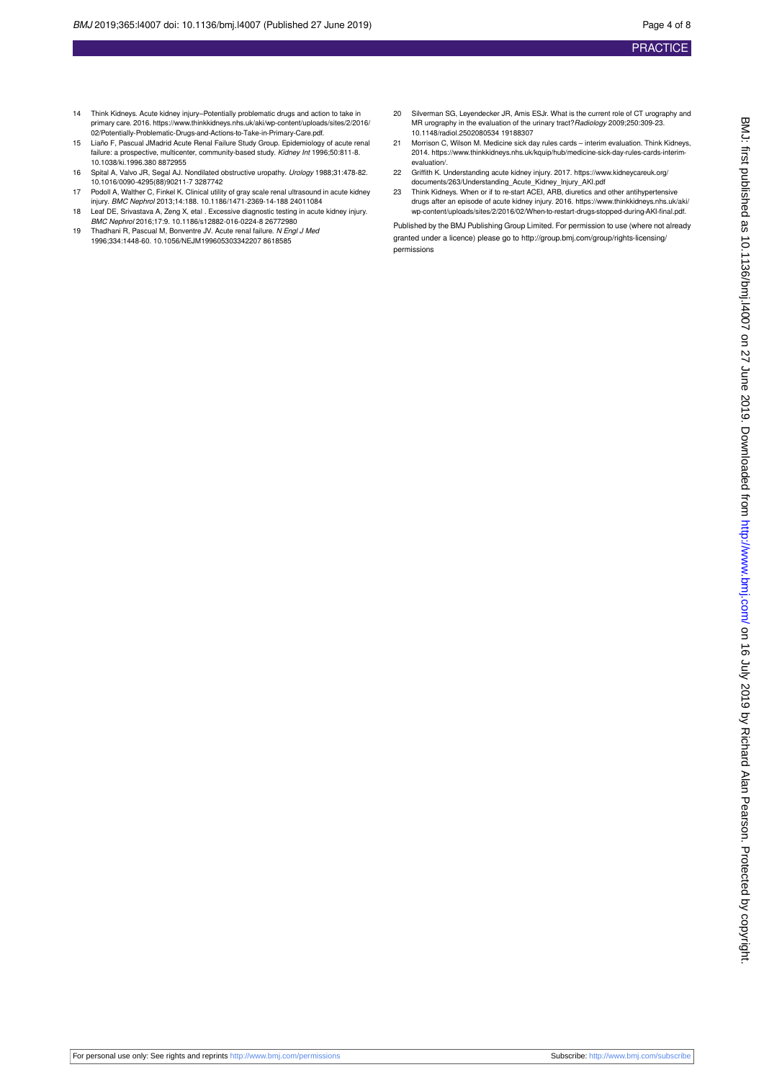- 14 Think Kidneys. Acute kidney injury–Potentially problematic drugs and action to take in primary care. 2016. https://www.thinkkidneys.nhs.uk/aki/wp-content/uploads/sites/2/2016/ 02/Potentially-Problematic-Drugs-and-Actions-to-Take-in-Primary-Care.pdf.
- 15 Liaño F, Pascual JMadrid Acute Renal Failure Study Group. Epidemiology of acute renal failure: a prospective, multicenter, community-based study. Kidney Int 1996;50:811-8. 10.1038/ki.1996.380 8872955
- 16 Spital A, Valvo JR, Segal AJ. Nondilated obstructive uropathy. Urology 1988;31:478-82. 10.1016/0090-4295(88)90211-7 3287742
- 17 Podoll A, Walther C, Finkel K. Clinical utility of gray scale renal ultrasound in acute kidney injury. BMC Nephrol 2013;14:188. 10.1186/1471-2369-14-188 24011084
- 18 Leaf DE, Srivastava A, Zeng X, etal . Excessive diagnostic testing in acute kidney injury. BMC Nephrol 2016;17:9. 10.1186/s12882-016-0224-8 26772980
- 19 Thadhani R, Pascual M, Bonventre JV. Acute renal failure. N Engl J Med 1996;334:1448-60. 10.1056/NEJM199605303342207 8618585
- 20 Silverman SG, Leyendecker JR, Amis ESJr. What is the current role of CT urography and MR urography in the evaluation of the urinary tract? Radiology 2009:250:309-23. 10.1148/radiol.2502080534 19188307
- 21 Morrison C, Wilson M. Medicine sick day rules cards interim evaluation. Think Kidneys, 2014. https://www.thinkkidneys.nhs.uk/kquip/hub/medicine-sick-day-rules-cards-interimevaluation/.
- 22 Griffith K. Understanding acute kidney injury. 2017. https://www.kidneycareuk.org/ documents/263/Understanding\_Acute\_Kidney\_Injury\_AKI.pdf 23 Think Kidneys. When or if to re-start ACEI, ARB, diuretics and other antihypertensive
- drugs after an episode of acute kidney injury. 2016. https://www.thinkkidneys.nhs.uk/aki/ wp-content/uploads/sites/2/2016/02/When-to-restart-drugs-stopped-during-AKI-final.pdf.

Published by the BMJ Publishing Group Limited. For permission to use (where not already granted under a licence) please go to [http://group.bmj.com/group/rights-licensing/](http://group.bmj.com/group/rights-licensing/permissions) [permissions](http://group.bmj.com/group/rights-licensing/permissions)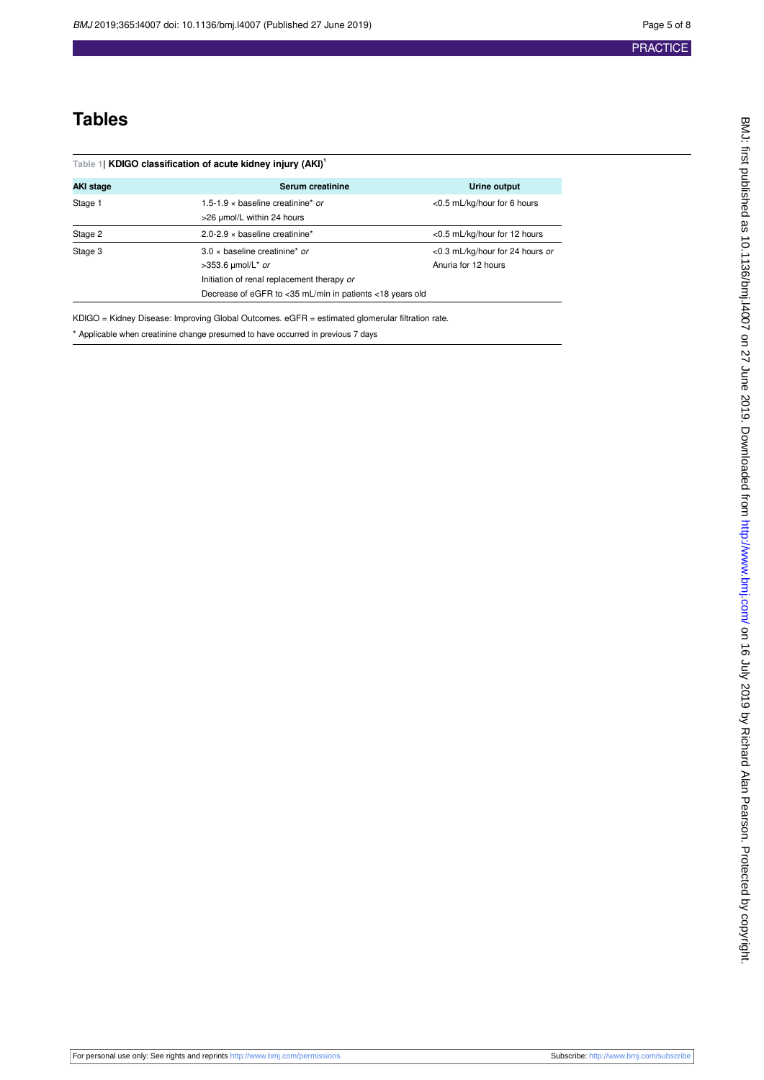## **Tables**

<span id="page-4-0"></span>

| Table 1  KDIGO classification of acute kidney injury (AKI) <sup>1</sup> |                                                                                                                                                                     |                                                        |  |  |  |  |
|-------------------------------------------------------------------------|---------------------------------------------------------------------------------------------------------------------------------------------------------------------|--------------------------------------------------------|--|--|--|--|
| <b>AKI stage</b>                                                        | Serum creatinine                                                                                                                                                    | Urine output                                           |  |  |  |  |
| Stage 1                                                                 | 1.5-1.9 $\times$ baseline creatinine* or<br><0.5 mL/kg/hour for 6 hours<br>>26 umol/L within 24 hours                                                               |                                                        |  |  |  |  |
| Stage 2                                                                 | $2.0 - 2.9 \times$ baseline creatinine*                                                                                                                             | <0.5 mL/kg/hour for 12 hours                           |  |  |  |  |
| Stage 3                                                                 | $3.0 \times$ baseline creatinine* or<br>>353.6 µmol/L* or<br>Initiation of renal replacement therapy or<br>Decrease of eGFR to <35 mL/min in patients <18 years old | <0.3 mL/kg/hour for 24 hours or<br>Anuria for 12 hours |  |  |  |  |

KDIGO = Kidney Disease: Improving Global Outcomes. eGFR = estimated glomerular filtration rate.

\* Applicable when creatinine change presumed to have occurred in previous 7 days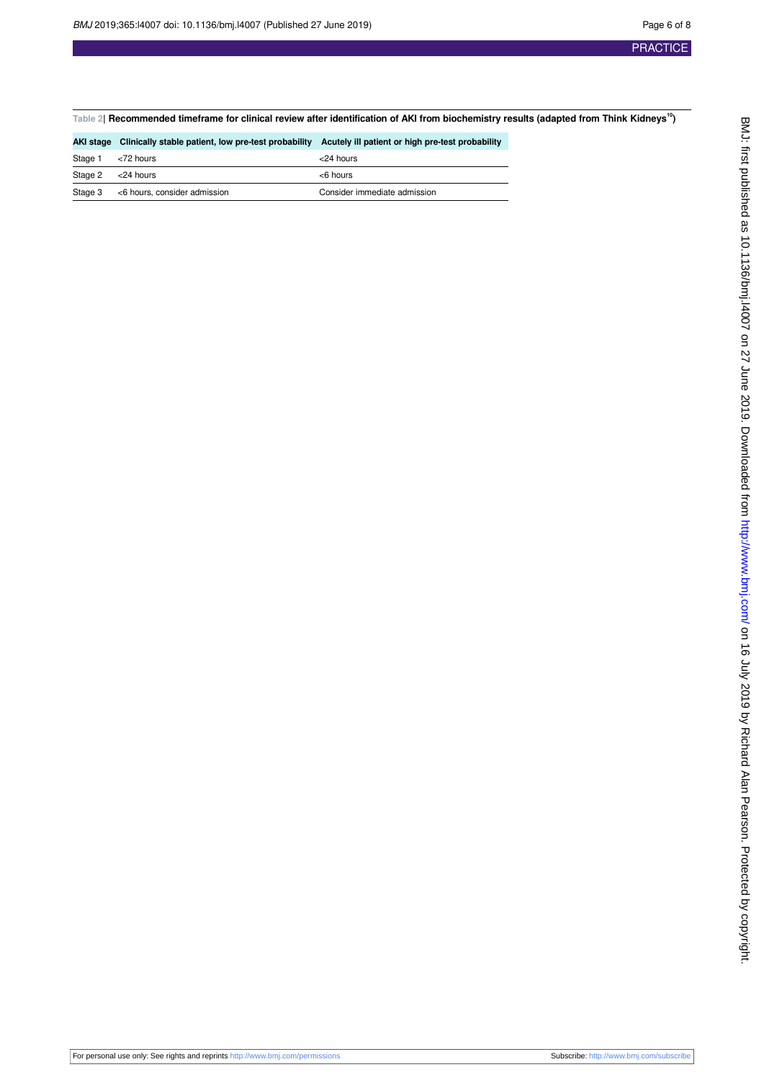<span id="page-5-0"></span>**Table 2| Recommended timeframe for clinical review after identification of AKI from biochemistry results (adapted from Think Kidneys<sup>10</sup>)**

|         | AKI stage Clinically stable patient, low pre-test probability Acutely ill patient or high pre-test probability |                              |
|---------|----------------------------------------------------------------------------------------------------------------|------------------------------|
| Stage 1 | <72 hours                                                                                                      | $<$ 24 hours                 |
| Stage 2 | <24 hours                                                                                                      | $<$ 6 hours                  |
| Stage 3 | <6 hours, consider admission                                                                                   | Consider immediate admission |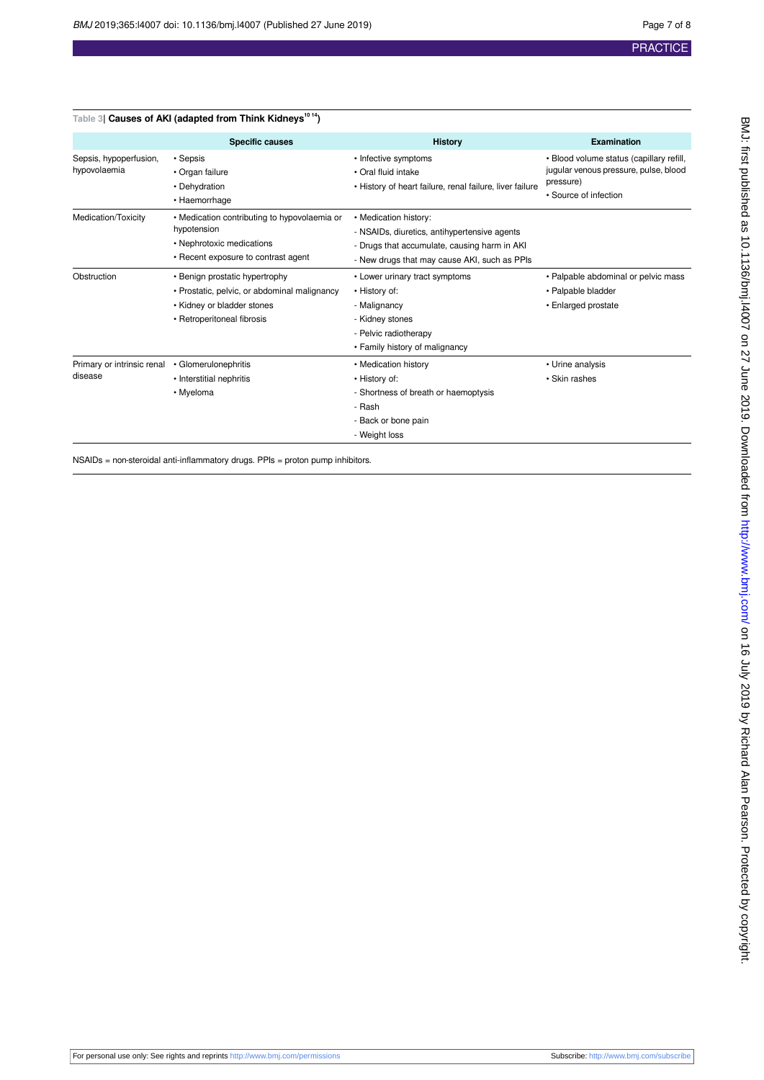<span id="page-6-0"></span>

| Table 3  Causes of AKI (adapted from Think Kidneys <sup>1014</sup> ) |                                                                                                                                            |                                                                                                                                                                       |                                                                                                                         |  |  |  |
|----------------------------------------------------------------------|--------------------------------------------------------------------------------------------------------------------------------------------|-----------------------------------------------------------------------------------------------------------------------------------------------------------------------|-------------------------------------------------------------------------------------------------------------------------|--|--|--|
|                                                                      | <b>Specific causes</b>                                                                                                                     | <b>History</b>                                                                                                                                                        | <b>Examination</b>                                                                                                      |  |  |  |
| Sepsis, hypoperfusion,<br>hypovolaemia                               | • Sepsis<br>• Organ failure<br>• Dehydration<br>• Haemorrhage                                                                              | • Infective symptoms<br>• Oral fluid intake<br>• History of heart failure, renal failure, liver failure                                                               | · Blood volume status (capillary refill,<br>jugular venous pressure, pulse, blood<br>pressure)<br>• Source of infection |  |  |  |
| Medication/Toxicity                                                  | • Medication contributing to hypovolaemia or<br>hypotension<br>• Nephrotoxic medications<br>• Recent exposure to contrast agent            | • Medication history:<br>- NSAIDs, diuretics, antihypertensive agents<br>- Drugs that accumulate, causing harm in AKI<br>- New drugs that may cause AKI, such as PPIs |                                                                                                                         |  |  |  |
| Obstruction                                                          | • Benign prostatic hypertrophy<br>· Prostatic, pelvic, or abdominal malignancy<br>• Kidney or bladder stones<br>• Retroperitoneal fibrosis | • Lower urinary tract symptoms<br>• History of:<br>- Malignancy<br>- Kidney stones<br>- Pelvic radiotherapy<br>• Family history of malignancy                         | • Palpable abdominal or pelvic mass<br>• Palpable bladder<br>• Enlarged prostate                                        |  |  |  |
| Primary or intrinsic renal<br>disease                                | • Glomerulonephritis<br>• Interstitial nephritis<br>• Myeloma                                                                              | • Medication history<br>• History of:<br>- Shortness of breath or haemoptysis<br>- Rash<br>- Back or bone pain<br>- Weight loss                                       | • Urine analysis<br>• Skin rashes                                                                                       |  |  |  |

NSAIDs = non-steroidal anti-inflammatory drugs. PPIs = proton pump inhibitors.